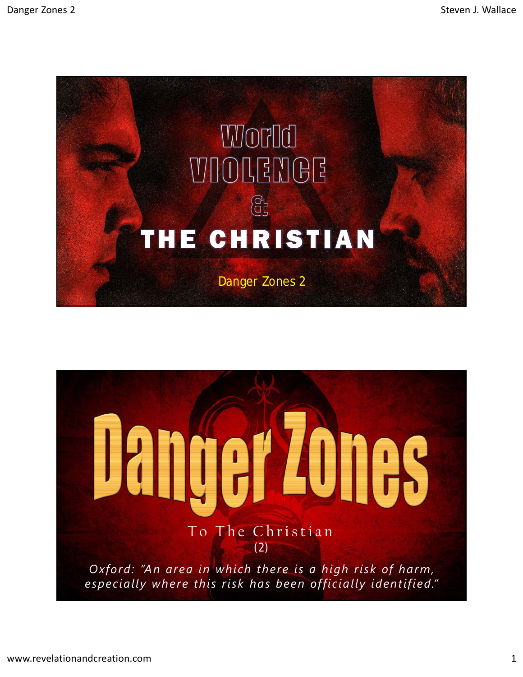

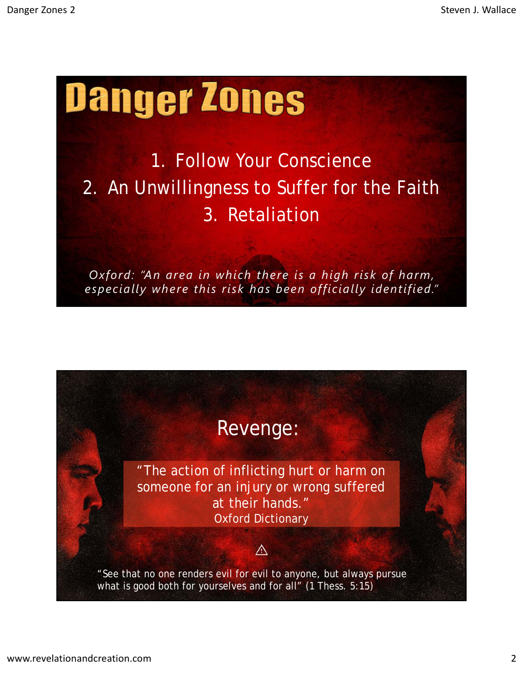## Danger Zones

1. Follow Your Conscience 2. An Unwillingness to Suffer for the Faith 3. Retaliation

*Oxford: "An area in which there is a high risk of harm, especially where this risk has been officially identified."*

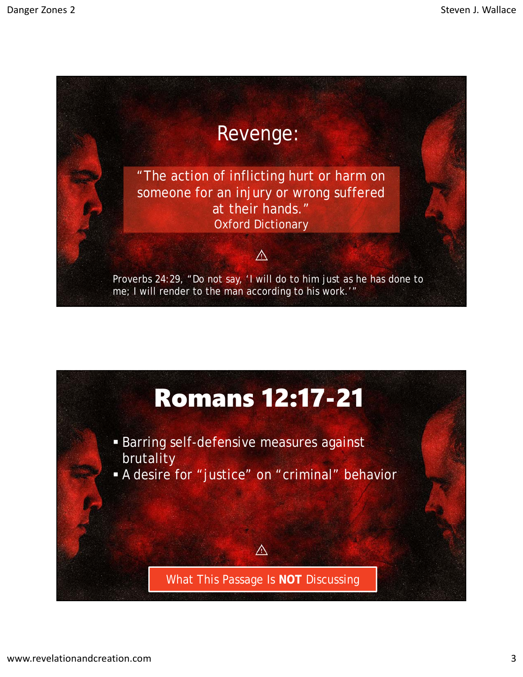

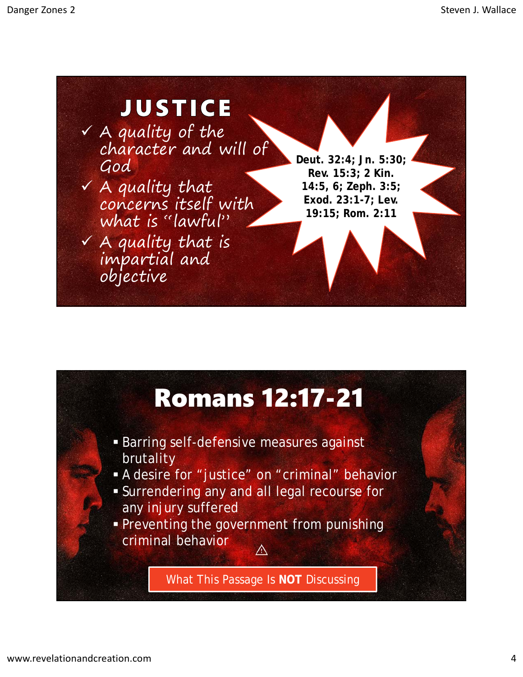